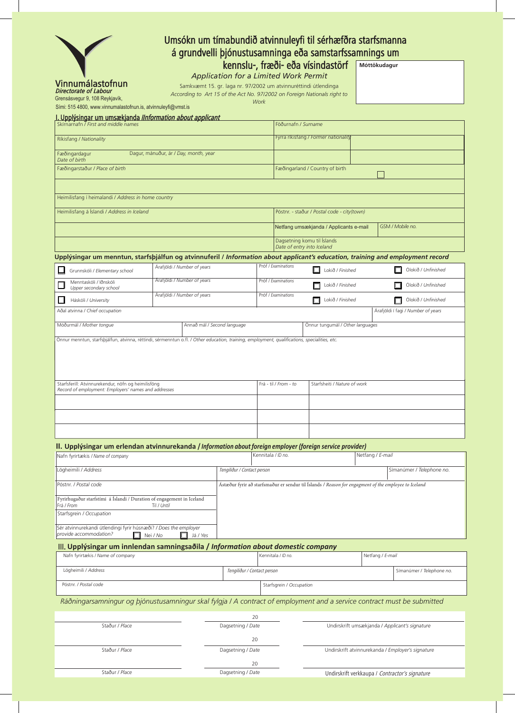| Vinnumálastofnun<br><b>Directorate of Labour</b> |  |
|--------------------------------------------------|--|

Grensásvegur 9, 108 Reykjavík,

Sími: 515 4800, www.vinnumalastofnun.is, atvinnuleyfi@vmst.is

I. Upplýsingar um umsækjanda *IInformation about applicant* 

## Umsókn um tímabundið atvinnuleyfi til sérhæfðra starfsmanna á grundvelli þjónustusamninga eða samstarfssamnings um

kennslu-, fræði- eða vísindastörf

*Application for a Limited Work Permit*

Samkvæmt 15. gr. laga nr. 97/2002 um atvinnuréttindi útlendinga *According to Art 15 of the Act No. 97/2002 on Foreign Nationals right to* 

*Work*

**Móttökudagur**

|                | <u>. Opprjungar am ambonjanaa mnomnaton about appr</u><br>Skirnarnafn / First and middle names                                                |                                       |                   |                                                                                                      |                     | Föðurnafn / Surname                                       |                                                |                                                |                     |                     |                                    |  |
|----------------|-----------------------------------------------------------------------------------------------------------------------------------------------|---------------------------------------|-------------------|------------------------------------------------------------------------------------------------------|---------------------|-----------------------------------------------------------|------------------------------------------------|------------------------------------------------|---------------------|---------------------|------------------------------------|--|
|                | Ríkisfang / Nationality                                                                                                                       |                                       |                   |                                                                                                      |                     |                                                           |                                                | Fyrra ríkisfang / Former nationality           |                     |                     |                                    |  |
|                | Fæðingardagur<br>Date of birth                                                                                                                | Dagur, mánuður, ár / Day, month, year |                   |                                                                                                      |                     |                                                           |                                                |                                                |                     |                     |                                    |  |
|                | Fæðingarstaður / Place of birth                                                                                                               |                                       |                   |                                                                                                      |                     | Fæðingarland / Country of birth                           |                                                |                                                |                     |                     |                                    |  |
|                |                                                                                                                                               |                                       |                   |                                                                                                      |                     |                                                           |                                                |                                                |                     |                     |                                    |  |
|                | Heimilisfang í heimalandi / Address in home country                                                                                           |                                       |                   |                                                                                                      |                     |                                                           |                                                |                                                |                     |                     |                                    |  |
|                | Heimilisfang á Íslandi / Address in Iceland                                                                                                   |                                       |                   |                                                                                                      |                     |                                                           |                                                | Póstnr. - staður / Postal code - city(town)    |                     |                     |                                    |  |
|                |                                                                                                                                               |                                       |                   |                                                                                                      |                     |                                                           |                                                | Netfang umsækjanda / Applicants e-mail         |                     | GSM / Mobile no.    |                                    |  |
|                |                                                                                                                                               |                                       |                   |                                                                                                      |                     | Dagsetning komu til Íslands<br>Date of entry into Iceland |                                                |                                                |                     |                     |                                    |  |
|                | Upplýsingar um menntun, starfsþjálfun og atvinnuferil / Information about applicant's education, training and employment record               |                                       |                   |                                                                                                      |                     |                                                           |                                                |                                                |                     |                     |                                    |  |
|                | Grunnskóli / Elementary school                                                                                                                | Árafjöldi / Number of years           |                   |                                                                                                      |                     | Próf / Examinations<br>Lokið / Finished                   |                                                |                                                | Ólokið / Unfinished |                     |                                    |  |
|                | Menntaskóli / Iðnskóli<br>Upper secondary school                                                                                              | Árafjöldi / Number of years           |                   |                                                                                                      | Próf / Examinations |                                                           |                                                | Lokið / Finished                               |                     |                     | Ólokið / Unfinished                |  |
| ப              | Háskóli / University                                                                                                                          | Árafjöldi / Number of years           |                   |                                                                                                      |                     | Próf / Examinations                                       |                                                | Lokið / Finished                               |                     | Ólokið / Unfinished |                                    |  |
|                | Adal atvinna / Chief occupation                                                                                                               |                                       |                   |                                                                                                      |                     |                                                           |                                                |                                                |                     |                     | Árafjöldi í fagi / Number of years |  |
|                | Móðurmál / Mother tongue                                                                                                                      |                                       |                   | Annað mál / Second language                                                                          |                     |                                                           |                                                | Önnur tungumál / Other languages               |                     |                     |                                    |  |
|                | Önnur menntun, starfsþjálfun, atvinna, réttindi, sérmenntun o.fl. / Other education, training, employment, qualifications, specialities, etc. |                                       |                   |                                                                                                      |                     |                                                           |                                                |                                                |                     |                     |                                    |  |
|                | Starfsferill: Atvinnurekendur, nöfn og heimilisföng<br>Record of employment: Employers' names and addresses                                   |                                       |                   |                                                                                                      |                     | Frá - til / From - to                                     |                                                | Starfsheiti / Nature of work                   |                     |                     |                                    |  |
|                | II. Upplýsingar um erlendan atvinnurekanda / Information about foreign employer (foreign service provider)                                    |                                       |                   |                                                                                                      |                     |                                                           |                                                |                                                |                     |                     |                                    |  |
|                | Nafn fyrirtækis / Name of company                                                                                                             |                                       |                   |                                                                                                      | Kennitala / ID no.  |                                                           |                                                |                                                | Netfang / E-mail    |                     |                                    |  |
|                | Lögheimili / Address                                                                                                                          |                                       |                   | Tengiliður / Contact person                                                                          |                     |                                                           |                                                |                                                |                     |                     | Símanúmer / Telephone no.          |  |
|                | Póstnr. / Postal code                                                                                                                         |                                       |                   | Ástæður fyrir að starfsmaður er sendur til Íslands / Reason for engagment of the employee to Iceland |                     |                                                           |                                                |                                                |                     |                     |                                    |  |
|                | Fyrirhugaður starfstími á Íslandi / Duration of engagement in Iceland                                                                         |                                       |                   |                                                                                                      |                     |                                                           |                                                |                                                |                     |                     |                                    |  |
| Frá / From     | Starfsgrein / Occupation                                                                                                                      | Til / Until                           |                   |                                                                                                      |                     |                                                           |                                                |                                                |                     |                     |                                    |  |
|                | Sér atvinnurekandi útlendingi fyrir húsnæði? / Does the employer<br>provide accommodation?<br>□                                               | Nei / No<br>$\mathbf{r}$              | Já / Yes          |                                                                                                      |                     |                                                           |                                                |                                                |                     |                     |                                    |  |
|                | III. Upplýsingar um innlendan samningsaðila / Information about domestic company                                                              |                                       |                   |                                                                                                      |                     |                                                           |                                                |                                                |                     |                     |                                    |  |
|                | Nafn fyrirtækis / Name of company                                                                                                             |                                       |                   |                                                                                                      |                     | Kennitala / ID no.                                        |                                                |                                                |                     | Netfang / E-mail    |                                    |  |
|                | Lögheimili / Address                                                                                                                          |                                       |                   | Tengiliður / Contact person                                                                          |                     |                                                           |                                                |                                                |                     |                     | Símanúmer / Telephone no.          |  |
|                | Póstnr. / Postal code                                                                                                                         |                                       |                   |                                                                                                      |                     | Starfsgrein / Occupation                                  |                                                |                                                |                     |                     |                                    |  |
|                | Ráðningarsamningur og þjónustusamningur skal fylgja / A contract of employment and a service contract must be submitted                       |                                       |                   |                                                                                                      |                     |                                                           |                                                |                                                |                     |                     |                                    |  |
|                |                                                                                                                                               |                                       |                   | 20                                                                                                   |                     |                                                           |                                                |                                                |                     |                     |                                    |  |
|                | Staður / Place                                                                                                                                | Dagsetning / Date                     |                   |                                                                                                      |                     |                                                           | Undirskrift umsækjanda / Applicant's signature |                                                |                     |                     |                                    |  |
|                |                                                                                                                                               |                                       |                   | 20                                                                                                   |                     |                                                           |                                                |                                                |                     |                     |                                    |  |
| Staður / Place |                                                                                                                                               |                                       | Dagsetning / Date |                                                                                                      |                     | Undirskrift atvinnurekanda / Employer's signature         |                                                |                                                |                     |                     |                                    |  |
|                | Staður / Place                                                                                                                                |                                       |                   | 20<br>Dagsetning / Date                                                                              |                     |                                                           |                                                | Undirskrift verkkaupa / Contractor's signature |                     |                     |                                    |  |
|                |                                                                                                                                               |                                       |                   |                                                                                                      |                     |                                                           |                                                |                                                |                     |                     |                                    |  |